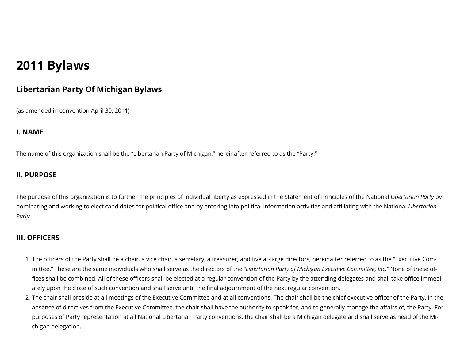# **2011 Bylaws**

# **Libertarian Party Of Michigan Bylaws**

(as amended in convention April 30, 2011)

#### **I. NAME**

The name of this organization shall be the "Libertarian Party of Michigan," hereinafter referred to as the "Party."

## **II. PURPOSE**

The purpose of this organization is to further the principles of individual liberty as expressed in the Statement of Principles of the National *Libertarian Party* by nominating and working to elect candidates for political office and by entering into political information activities and affiliating with the National *Libertarian Party* .

## **III. OFFICERS**

- 1. The officers of the Party shall be a chair, a vice chair, a secretary, a treasurer, and five at-large directors, hereinafter referred to as the "Executive Committee." These are the same individuals who shall serve as the directors of the "*Libertarian Party of Michigan Executive Committee, Inc."* None of these of fices shall be combined. All of these officers shall be elected at a regular convention of the Party by the attending delegates and shall take office immediately upon the close of such convention and shall serve until the final adjournment of the next regular convention.
- 2. The chair shall preside at all meetings of the Executive Committee and at all conventions. The chair shall be the chief executive officer of the Party. In the absence of directives from the Executive Committee, the chair shall have the authority to speak for, and to generally manage the affairs of, the Party. For purposes of Party representation at all National Libertarian Party conventions, the chair shall be a Michigan delegate and shall serve as head of the Michigan delegation.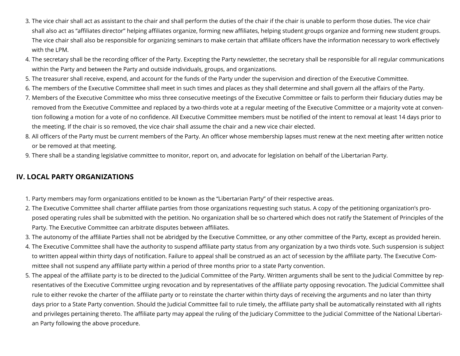- 3. The vice chair shall act as assistant to the chair and shall perform the duties of the chair if the chair is unable to perform those duties. The vice chair shall also act as "affiliates director" helping affiliates organize, forming new affiliates, helping student groups organize and forming new student groups. The vice chair shall also be responsible for organizing seminars to make certain that affiliate officers have the information necessary to work effectively with the LPM.
- 4. The secretary shall be the recording officer of the Party. Excepting the Party newsletter, the secretary shall be responsible for all regular communications within the Party and between the Party and outside individuals, groups, and organizations.
- 5. The treasurer shall receive, expend, and account for the funds of the Party under the supervision and direction of the Executive Committee.
- 6. The members of the Executive Committee shall meet in such times and places as they shall determine and shall govern all the affairs of the Party.
- 7. Members of the Executive Committee who miss three consecutive meetings of the Executive Committee or fails to perform their fiduciary duties may be removed from the Executive Committee and replaced by a two-thirds vote at a regular meeting of the Executive Committee or a majority vote at convention following a motion for a vote of no confidence. All Executive Committee members must be notified of the intent to removal at least 14 days prior to the meeting. If the chair is so removed, the vice chair shall assume the chair and a new vice chair elected.
- 8. All officers of the Party must be current members of the Party. An officer whose membership lapses must renew at the next meeting after written notice or be removed at that meeting.
- 9. There shall be a standing legislative committee to monitor, report on, and advocate for legislation on behalf of the Libertarian Party.

#### **IV. LOCAL PARTY ORGANIZATIONS**

- 1. Party members may form organizations entitled to be known as the "Libertarian Party" of their respective areas.
- 2. The Executive Committee shall charter affiliate parties from those organizations requesting such status. A copy of the petitioning organization's proposed operating rules shall be submitted with the petition. No organization shall be so chartered which does not ratify the Statement of Principles of the Party. The Executive Committee can arbitrate disputes between affiliates.
- 3. The autonomy of the affiliate Parties shall not be abridged by the Executive Committee, or any other committee of the Party, except as provided herein.
- 4. The Executive Committee shall have the authority to suspend affiliate party status from any organization by a two thirds vote. Such suspension is subject to written appeal within thirty days of notification. Failure to appeal shall be construed as an act of secession by the affiliate party. The Executive Committee shall not suspend any affiliate party within a period of three months prior to a state Party convention.
- 5. The appeal of the affiliate party is to be directed to the Judicial Committee of the Party. Written arguments shall be sent to the Judicial Committee by representatives of the Executive Committee urging revocation and by representatives of the affiliate party opposing revocation. The Judicial Committee shall rule to either revoke the charter of the affiliate party or to reinstate the charter within thirty days of receiving the arguments and no later than thirty days prior to a State Party convention. Should the Judicial Committee fail to rule timely, the affiliate party shall be automatically reinstated with all rights and privileges pertaining thereto. The affiliate party may appeal the ruling of the Judiciary Committee to the Judicial Committee of the National Libertarian Party following the above procedure.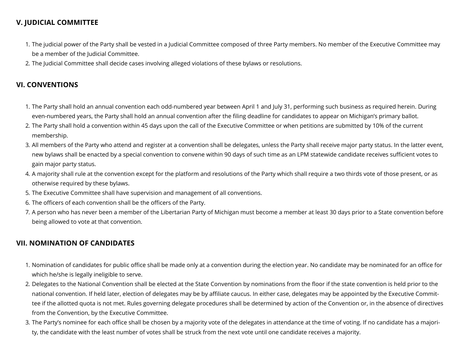# **V. JUDICIAL COMMITTEE**

- 1. The judicial power of the Party shall be vested in a Judicial Committee composed of three Party members. No member of the Executive Committee may be a member of the Judicial Committee.
- 2. The Judicial Committee shall decide cases involving alleged violations of these bylaws or resolutions.

## **VI. CONVENTIONS**

- 1. The Party shall hold an annual convention each odd-numbered year between April 1 and July 31, performing such business as required herein. During even-numbered years, the Party shall hold an annual convention after the filing deadline for candidates to appear on Michigan's primary ballot.
- 2. The Party shall hold a convention within 45 days upon the call of the Executive Committee or when petitions are submitted by 10% of the current membership.
- 3. All members of the Party who attend and register at a convention shall be delegates, unless the Party shall receive major party status. In the latter event, new bylaws shall be enacted by a special convention to convene within 90 days of such time as an LPM statewide candidate receives sufficient votes to gain major party status.
- 4. A majority shall rule at the convention except for the platform and resolutions of the Party which shall require a two thirds vote of those present, or as otherwise required by these bylaws.
- 5. The Executive Committee shall have supervision and management of all conventions.
- 6. The officers of each convention shall be the officers of the Party.
- 7. A person who has never been a member of the Libertarian Party of Michigan must become a member at least 30 days prior to a State convention before being allowed to vote at that convention.

## **VII. NOMINATION OF CANDIDATES**

- 1. Nomination of candidates for public office shall be made only at a convention during the election year. No candidate may be nominated for an office for which he/she is legally ineligible to serve.
- 2. Delegates to the National Convention shall be elected at the State Convention by nominations from the floor if the state convention is held prior to the national convention. If held later, election of delegates may be by affiliate caucus. In either case, delegates may be appointed by the Executive Committee if the allotted quota is not met. Rules governing delegate procedures shall be determined by action of the Convention or, in the absence of directives from the Convention, by the Executive Committee.
- 3. The Party's nominee for each office shall be chosen by a majority vote of the delegates in attendance at the time of voting. If no candidate has a majority, the candidate with the least number of votes shall be struck from the next vote until one candidate receives a majority.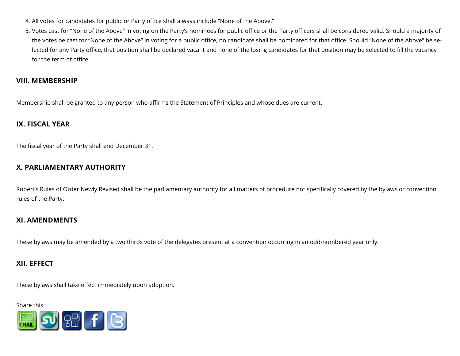- 4. All votes for candidates for public or Party office shall always include "None of the Above."
- 5. Votes cast for "None of the Above" in voting on the Party's nominees for public office or the Party officers shall be considered valid. Should a majority of the votes be cast for "None of the Above" in voting for a public office, no candidate shall be nominated for that office. Should "None of the Above" be selected for any Party office, that position shall be declared vacant and none of the losing candidates for that position may be selected to fill the vacancy for the term of office.

#### **VIII. MEMBERSHIP**

Membership shall be granted to any person who affirms the Statement of Principles and whose dues are current.

#### **IX. FISCAL YEAR**

The fiscal year of the Party shall end December 31.

## **X. PARLIAMENTARY AUTHORITY**

Robert's Rules of Order Newly Revised shall be the parliamentary authority for all matters of procedure not specifically covered by the bylaws or convention rules of the Party.

## **XI. AMENDMENTS**

These bylaws may be amended by a two thirds vote of the delegates present at a convention occurring in an odd-numbered year only.

## **XII. EFFECT**

These bylaws shall take effect immediately upon adoption.